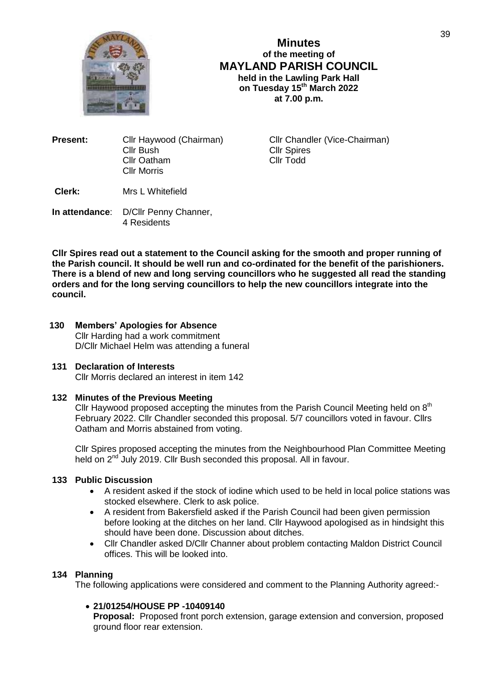

**Minutes of the meeting of MAYLAND PARISH COUNCIL held in the Lawling Park Hall on Tuesday 15th March 2022 at 7.00 p.m.**

| Present: | Cllr Haywood (Chairman) |
|----------|-------------------------|
|          | <b>Cllr Bush</b>        |
|          | <b>Cllr Oatham</b>      |
|          | <b>Cllr Morris</b>      |
|          |                         |

**Cllr Chandler (Vice-Chairman)** Cllr Spires Cllr Todd

**Clerk:** Mrs L Whitefield

**In attendance**: D/Cllr Penny Channer, 4 Residents

**Cllr Spires read out a statement to the Council asking for the smooth and proper running of the Parish council. It should be well run and co-ordinated for the benefit of the parishioners. There is a blend of new and long serving councillors who he suggested all read the standing orders and for the long serving councillors to help the new councillors integrate into the council.** 

**130 Members' Apologies for Absence** Cllr Harding had a work commitment D/Cllr Michael Helm was attending a funeral

## **131 Declaration of Interests**

Cllr Morris declared an interest in item 142

## **132 Minutes of the Previous Meeting**

Cllr Haywood proposed accepting the minutes from the Parish Council Meeting held on  $8<sup>th</sup>$ February 2022. Cllr Chandler seconded this proposal. 5/7 councillors voted in favour. Cllrs Oatham and Morris abstained from voting.

Cllr Spires proposed accepting the minutes from the Neighbourhood Plan Committee Meeting held on 2<sup>nd</sup> July 2019. Cllr Bush seconded this proposal. All in favour.

## **133 Public Discussion**

- A resident asked if the stock of iodine which used to be held in local police stations was stocked elsewhere. Clerk to ask police.
- A resident from Bakersfield asked if the Parish Council had been given permission before looking at the ditches on her land. Cllr Haywood apologised as in hindsight this should have been done. Discussion about ditches.
- Cllr Chandler asked D/Cllr Channer about problem contacting Maldon District Council offices. This will be looked into.

## **134 Planning**

The following applications were considered and comment to the Planning Authority agreed:-

## **21/01254/HOUSE PP -10409140**

**Proposal:** Proposed front porch extension, garage extension and conversion, proposed ground floor rear extension.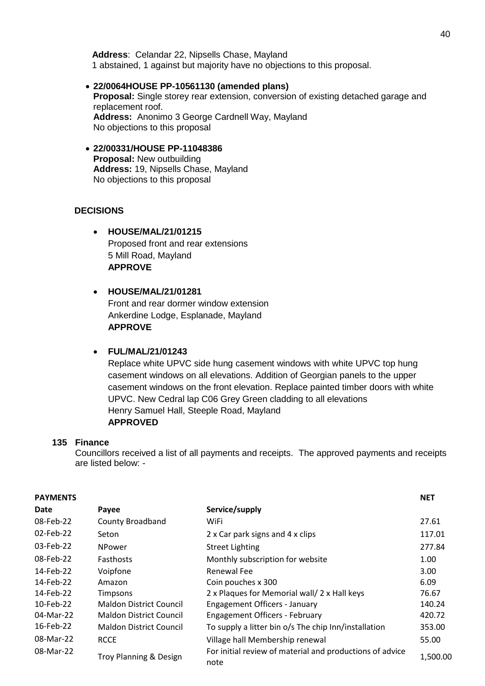**Address**: Celandar 22, Nipsells Chase, Mayland 1 abstained, 1 against but majority have no objections to this proposal.

 **22/0064HOUSE PP-10561130 (amended plans) Proposal:** Single storey rear extension, conversion of existing detached garage and replacement roof. **Address:** Anonimo 3 George Cardnell Way, Mayland No objections to this proposal

#### **22/00331/HOUSE PP-11048386 Proposal:** New outbuilding **Address:** 19, Nipsells Chase, Mayland No objections to this proposal

## **DECISIONS**

 **HOUSE/MAL/21/01215** Proposed front and rear extensions 5 Mill Road, Mayland **APPROVE**

# **HOUSE/MAL/21/01281** Front and rear dormer window extension

Ankerdine Lodge, Esplanade, Mayland **APPROVE**

## **FUL/MAL/21/01243**

Replace white UPVC side hung casement windows with white UPVC top hung casement windows on all elevations. Addition of Georgian panels to the upper casement windows on the front elevation. Replace painted timber doors with white UPVC. New Cedral lap C06 Grey Green cladding to all elevations Henry Samuel Hall, Steeple Road, Mayland **APPROVED**

## **135 Finance**

Councillors received a list of all payments and receipts. The approved payments and receipts are listed below: -

| <b>PAYMENTS</b> |                                |                                                                  | <b>NET</b> |
|-----------------|--------------------------------|------------------------------------------------------------------|------------|
| Date            | Payee                          | Service/supply                                                   |            |
| 08-Feb-22       | County Broadband               | WiFi                                                             | 27.61      |
| 02-Feb-22       | Seton                          | 2 x Car park signs and 4 x clips                                 | 117.01     |
| 03-Feb-22       | <b>NPower</b>                  | <b>Street Lighting</b>                                           | 277.84     |
| 08-Feb-22       | <b>Fasthosts</b>               | Monthly subscription for website                                 | 1.00       |
| 14-Feb-22       | Voipfone                       | Renewal Fee                                                      | 3.00       |
| 14-Feb-22       | Amazon                         | Coin pouches x 300                                               | 6.09       |
| 14-Feb-22       | Timpsons                       | 2 x Plaques for Memorial wall/ 2 x Hall keys                     | 76.67      |
| 10-Feb-22       | <b>Maldon District Council</b> | <b>Engagement Officers - January</b>                             | 140.24     |
| 04-Mar-22       | <b>Maldon District Council</b> | <b>Engagement Officers - February</b>                            | 420.72     |
| 16-Feb-22       | <b>Maldon District Council</b> | To supply a litter bin o/s The chip Inn/installation             | 353.00     |
| 08-Mar-22       | <b>RCCE</b>                    | Village hall Membership renewal                                  | 55.00      |
| 08-Mar-22       | Troy Planning & Design         | For initial review of material and productions of advice<br>note | 1,500.00   |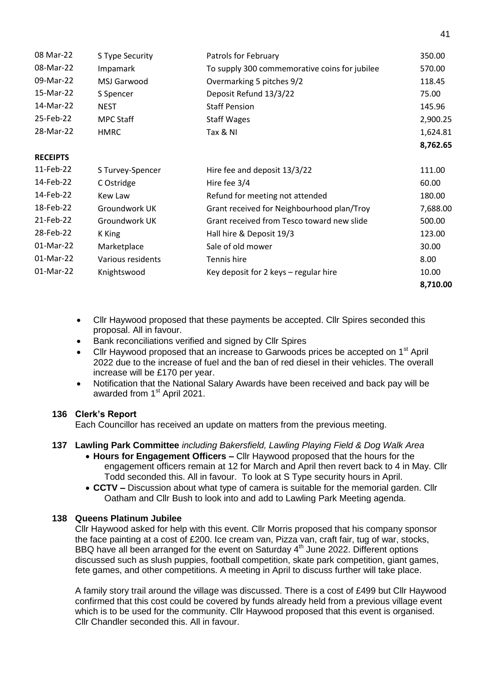| 08 Mar-22       | S Type Security   | Patrols for February                          | 350.00   |
|-----------------|-------------------|-----------------------------------------------|----------|
| 08-Mar-22       | Impamark          | To supply 300 commemorative coins for jubilee | 570.00   |
| 09-Mar-22       | MSJ Garwood       | Overmarking 5 pitches 9/2                     | 118.45   |
| 15-Mar-22       | S Spencer         | Deposit Refund 13/3/22                        | 75.00    |
| 14-Mar-22       | <b>NEST</b>       | <b>Staff Pension</b>                          | 145.96   |
| 25-Feb-22       | <b>MPC Staff</b>  | <b>Staff Wages</b>                            | 2,900.25 |
| 28-Mar-22       | <b>HMRC</b>       | Tax & NI                                      | 1,624.81 |
|                 |                   |                                               | 8,762.65 |
| <b>RECEIPTS</b> |                   |                                               |          |
| 11-Feb-22       | S Turvey-Spencer  | Hire fee and deposit 13/3/22                  | 111.00   |
| 14-Feb-22       | C Ostridge        | Hire fee 3/4                                  | 60.00    |
| 14-Feb-22       | Kew Law           | Refund for meeting not attended               | 180.00   |
| 18-Feb-22       | Groundwork UK     | Grant received for Neighbourhood plan/Troy    | 7,688.00 |
| 21-Feb-22       | Groundwork UK     | Grant received from Tesco toward new slide    | 500.00   |
| 28-Feb-22       | K King            | Hall hire & Deposit 19/3                      | 123.00   |
| 01-Mar-22       | Marketplace       | Sale of old mower                             | 30.00    |
| 01-Mar-22       | Various residents | Tennis hire                                   | 8.00     |
| 01-Mar-22       | Knightswood       | Key deposit for 2 keys - regular hire         | 10.00    |
|                 |                   |                                               | 8,710.00 |

- Cllr Haywood proposed that these payments be accepted. Cllr Spires seconded this proposal. All in favour.
- Bank reconciliations verified and signed by Cllr Spires
- Cllr Haywood proposed that an increase to Garwoods prices be accepted on 1<sup>st</sup> April 2022 due to the increase of fuel and the ban of red diesel in their vehicles. The overall increase will be £170 per year.
- Notification that the National Salary Awards have been received and back pay will be awarded from 1<sup>st</sup> April 2021.

## **136 Clerk's Report**

Each Councillor has received an update on matters from the previous meeting.

## **137 Lawling Park Committee** *including Bakersfield, Lawling Playing Field & Dog Walk Area*

- **Hours for Engagement Officers –** Cllr Haywood proposed that the hours for the engagement officers remain at 12 for March and April then revert back to 4 in May. Cllr Todd seconded this. All in favour. To look at S Type security hours in April.
- **CCTV –** Discussion about what type of camera is suitable for the memorial garden. Cllr Oatham and Cllr Bush to look into and add to Lawling Park Meeting agenda.

#### **138 Queens Platinum Jubilee**

Cllr Haywood asked for help with this event. Cllr Morris proposed that his company sponsor the face painting at a cost of £200. Ice cream van, Pizza van, craft fair, tug of war, stocks, BBQ have all been arranged for the event on Saturday  $4<sup>th</sup>$  June 2022. Different options discussed such as slush puppies, football competition, skate park competition, giant games, fete games, and other competitions. A meeting in April to discuss further will take place.

A family story trail around the village was discussed. There is a cost of £499 but Cllr Haywood confirmed that this cost could be covered by funds already held from a previous village event which is to be used for the community. Cllr Haywood proposed that this event is organised. Cllr Chandler seconded this. All in favour.